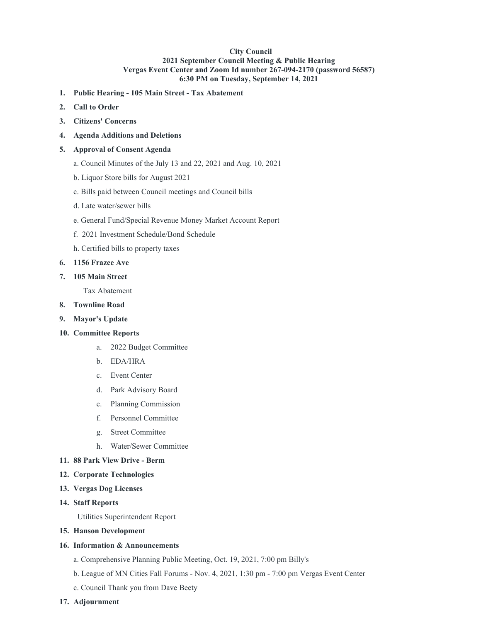## **City Council 2021 September Council Meeting & Public Hearing Vergas Event Center and Zoom Id number 267-094-2170 (password 56587) 6:30 PM on Tuesday, September 14, 2021**

- **1. Public Hearing - 105 Main Street - Tax Abatement**
- **2. Call to Order**
- **3. Citizens' Concerns**
- **4. Agenda Additions and Deletions**

### **5. Approval of Consent Agenda**

- a. Council Minutes of the July 13 and 22, 2021 and Aug. 10, 2021
- b. Liquor Store bills for August 2021
- c. Bills paid between Council meetings and Council bills
- d. Late water/sewer bills
- e. General Fund/Special Revenue Money Market Account Report
- f. 2021 Investment Schedule/Bond Schedule
- h. Certified bills to property taxes

#### **6. 1156 Frazee Ave**

**7. 105 Main Street**

Tax Abatement

- **8. Townline Road**
- **9. Mayor's Update**

### **10. Committee Reports**

- a. 2022 Budget Committee
- b. EDA/HRA
- c. Event Center
- d. Park Advisory Board
- e. Planning Commission
- f. Personnel Committee
- g. Street Committee
- h. Water/Sewer Committee
- **11. 88 Park View Drive - Berm**
- **12. Corporate Technologies**
- **13. Vergas Dog Licenses**
- **14. Staff Reports**

Utilities Superintendent Report

**15. Hanson Development**

### **16. Information & Announcements**

- a. Comprehensive Planning Public Meeting, Oct. 19, 2021, 7:00 pm Billy's
- b. League of MN Cities Fall Forums Nov. 4, 2021, 1:30 pm 7:00 pm Vergas Event Center
- c. Council Thank you from Dave Beety
- **17. Adjournment**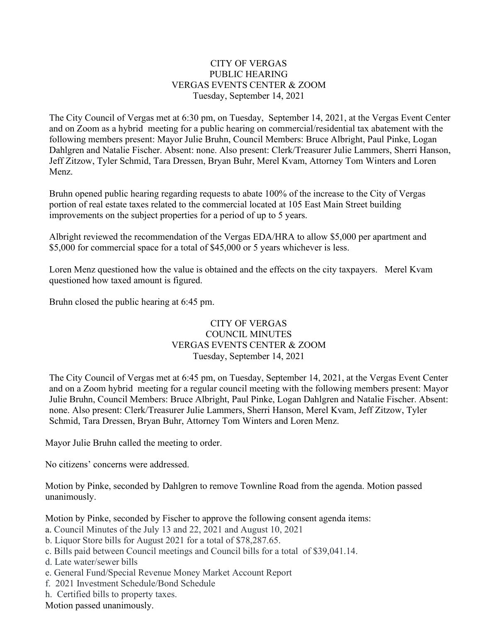# CITY OF VERGAS PUBLIC HEARING VERGAS EVENTS CENTER & ZOOM Tuesday, September 14, 2021

The City Council of Vergas met at 6:30 pm, on Tuesday, September 14, 2021, at the Vergas Event Center and on Zoom as a hybrid meeting for a public hearing on commercial/residential tax abatement with the following members present: Mayor Julie Bruhn, Council Members: Bruce Albright, Paul Pinke, Logan Dahlgren and Natalie Fischer. Absent: none. Also present: Clerk/Treasurer Julie Lammers, Sherri Hanson, Jeff Zitzow, Tyler Schmid, Tara Dressen, Bryan Buhr, Merel Kvam, Attorney Tom Winters and Loren Menz.

Bruhn opened public hearing regarding requests to abate 100% of the increase to the City of Vergas portion of real estate taxes related to the commercial located at 105 East Main Street building improvements on the subject properties for a period of up to 5 years.

Albright reviewed the recommendation of the Vergas EDA/HRA to allow \$5,000 per apartment and \$5,000 for commercial space for a total of \$45,000 or 5 years whichever is less.

Loren Menz questioned how the value is obtained and the effects on the city taxpayers. Merel Kvam questioned how taxed amount is figured.

Bruhn closed the public hearing at 6:45 pm.

# CITY OF VERGAS COUNCIL MINUTES VERGAS EVENTS CENTER & ZOOM Tuesday, September 14, 2021

The City Council of Vergas met at 6:45 pm, on Tuesday, September 14, 2021, at the Vergas Event Center and on a Zoom hybrid meeting for a regular council meeting with the following members present: Mayor Julie Bruhn, Council Members: Bruce Albright, Paul Pinke, Logan Dahlgren and Natalie Fischer. Absent: none. Also present: Clerk/Treasurer Julie Lammers, Sherri Hanson, Merel Kvam, Jeff Zitzow, Tyler Schmid, Tara Dressen, Bryan Buhr, Attorney Tom Winters and Loren Menz.

Mayor Julie Bruhn called the meeting to order.

No citizens' concerns were addressed.

Motion by Pinke, seconded by Dahlgren to remove Townline Road from the agenda. Motion passed unanimously.

Motion by Pinke, seconded by Fischer to approve the following consent agenda items:

- a. Council Minutes of the July 13 and 22, 2021 and August 10, 2021
- b. Liquor Store bills for August 2021 for a total of \$78,287.65.
- c. Bills paid between Council meetings and Council bills for a total of \$39,041.14.
- d. Late water/sewer bills
- e. General Fund/Special Revenue Money Market Account Report
- f. 2021 Investment Schedule/Bond Schedule
- h. Certified bills to property taxes.

Motion passed unanimously.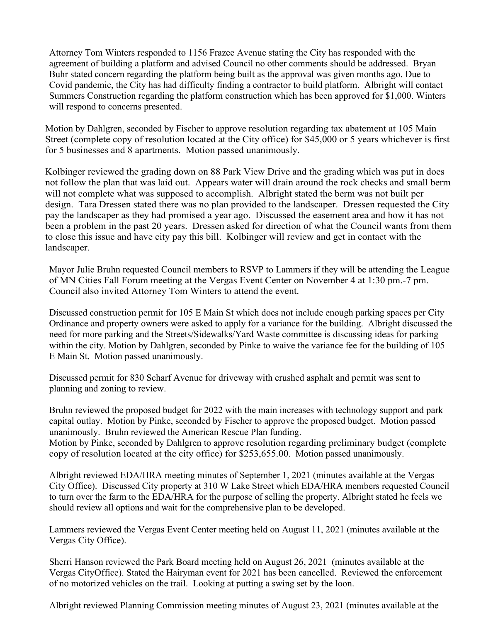Attorney Tom Winters responded to 1156 Frazee Avenue stating the City has responded with the agreement of building a platform and advised Council no other comments should be addressed. Bryan Buhr stated concern regarding the platform being built as the approval was given months ago. Due to Covid pandemic, the City has had difficulty finding a contractor to build platform. Albright will contact Summers Construction regarding the platform construction which has been approved for \$1,000. Winters will respond to concerns presented.

Motion by Dahlgren, seconded by Fischer to approve resolution regarding tax abatement at 105 Main Street (complete copy of resolution located at the City office) for \$45,000 or 5 years whichever is first for 5 businesses and 8 apartments. Motion passed unanimously.

Kolbinger reviewed the grading down on 88 Park View Drive and the grading which was put in does not follow the plan that was laid out. Appears water will drain around the rock checks and small berm will not complete what was supposed to accomplish. Albright stated the berm was not built per design. Tara Dressen stated there was no plan provided to the landscaper. Dressen requested the City pay the landscaper as they had promised a year ago. Discussed the easement area and how it has not been a problem in the past 20 years. Dressen asked for direction of what the Council wants from them to close this issue and have city pay this bill. Kolbinger will review and get in contact with the landscaper.

Mayor Julie Bruhn requested Council members to RSVP to Lammers if they will be attending the League of MN Cities Fall Forum meeting at the Vergas Event Center on November 4 at 1:30 pm.-7 pm. Council also invited Attorney Tom Winters to attend the event.

Discussed construction permit for 105 E Main St which does not include enough parking spaces per City Ordinance and property owners were asked to apply for a variance for the building. Albright discussed the need for more parking and the Streets/Sidewalks/Yard Waste committee is discussing ideas for parking within the city. Motion by Dahlgren, seconded by Pinke to waive the variance fee for the building of 105 E Main St. Motion passed unanimously.

Discussed permit for 830 Scharf Avenue for driveway with crushed asphalt and permit was sent to planning and zoning to review.

Bruhn reviewed the proposed budget for 2022 with the main increases with technology support and park capital outlay. Motion by Pinke, seconded by Fischer to approve the proposed budget. Motion passed unanimously. Bruhn reviewed the American Rescue Plan funding. Motion by Pinke, seconded by Dahlgren to approve resolution regarding preliminary budget (complete copy of resolution located at the city office) for \$253,655.00. Motion passed unanimously.

Albright reviewed EDA/HRA meeting minutes of September 1, 2021 (minutes available at the Vergas City Office). Discussed City property at 310 W Lake Street which EDA/HRA members requested Council to turn over the farm to the EDA/HRA for the purpose of selling the property. Albright stated he feels we should review all options and wait for the comprehensive plan to be developed.

Lammers reviewed the Vergas Event Center meeting held on August 11, 2021 (minutes available at the Vergas City Office).

Sherri Hanson reviewed the Park Board meeting held on August 26, 2021 (minutes available at the Vergas CityOffice). Stated the Hairyman event for 2021 has been cancelled. Reviewed the enforcement of no motorized vehicles on the trail. Looking at putting a swing set by the loon.

Albright reviewed Planning Commission meeting minutes of August 23, 2021 (minutes available at the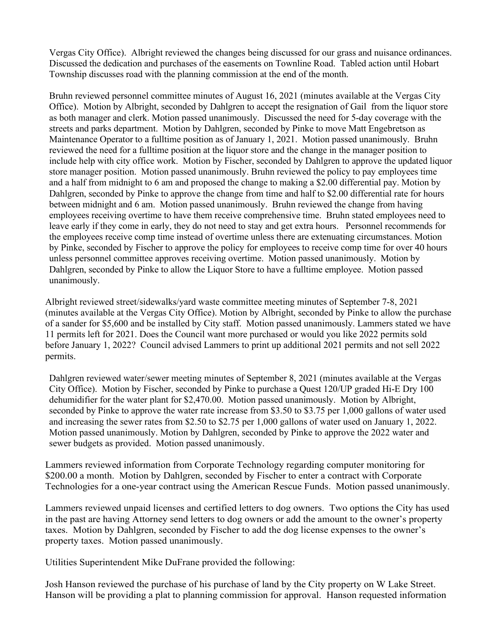Vergas City Office). Albright reviewed the changes being discussed for our grass and nuisance ordinances. Discussed the dedication and purchases of the easements on Townline Road. Tabled action until Hobart Township discusses road with the planning commission at the end of the month.

Bruhn reviewed personnel committee minutes of August 16, 2021 (minutes available at the Vergas City Office). Motion by Albright, seconded by Dahlgren to accept the resignation of Gail from the liquor store as both manager and clerk. Motion passed unanimously. Discussed the need for 5-day coverage with the streets and parks department. Motion by Dahlgren, seconded by Pinke to move Matt Engebretson as Maintenance Operator to a fulltime position as of January 1, 2021. Motion passed unanimously. Bruhn reviewed the need for a fulltime position at the liquor store and the change in the manager position to include help with city office work. Motion by Fischer, seconded by Dahlgren to approve the updated liquor store manager position. Motion passed unanimously. Bruhn reviewed the policy to pay employees time and a half from midnight to 6 am and proposed the change to making a \$2.00 differential pay. Motion by Dahlgren, seconded by Pinke to approve the change from time and half to \$2.00 differential rate for hours between midnight and 6 am. Motion passed unanimously. Bruhn reviewed the change from having employees receiving overtime to have them receive comprehensive time. Bruhn stated employees need to leave early if they come in early, they do not need to stay and get extra hours. Personnel recommends for the employees receive comp time instead of overtime unless there are extenuating circumstances. Motion by Pinke, seconded by Fischer to approve the policy for employees to receive comp time for over 40 hours unless personnel committee approves receiving overtime. Motion passed unanimously. Motion by Dahlgren, seconded by Pinke to allow the Liquor Store to have a fulltime employee. Motion passed unanimously.

Albright reviewed street/sidewalks/yard waste committee meeting minutes of September 7-8, 2021 (minutes available at the Vergas City Office). Motion by Albright, seconded by Pinke to allow the purchase of a sander for \$5,600 and be installed by City staff. Motion passed unanimously. Lammers stated we have 11 permits left for 2021. Does the Council want more purchased or would you like 2022 permits sold before January 1, 2022? Council advised Lammers to print up additional 2021 permits and not sell 2022 permits.

Dahlgren reviewed water/sewer meeting minutes of September 8, 2021 (minutes available at the Vergas City Office). Motion by Fischer, seconded by Pinke to purchase a Quest 120/UP graded Hi-E Dry 100 dehumidifier for the water plant for \$2,470.00. Motion passed unanimously. Motion by Albright, seconded by Pinke to approve the water rate increase from \$3.50 to \$3.75 per 1,000 gallons of water used and increasing the sewer rates from \$2.50 to \$2.75 per 1,000 gallons of water used on January 1, 2022. Motion passed unanimously. Motion by Dahlgren, seconded by Pinke to approve the 2022 water and sewer budgets as provided. Motion passed unanimously.

Lammers reviewed information from Corporate Technology regarding computer monitoring for \$200.00 a month. Motion by Dahlgren, seconded by Fischer to enter a contract with Corporate Technologies for a one-year contract using the American Rescue Funds. Motion passed unanimously.

Lammers reviewed unpaid licenses and certified letters to dog owners. Two options the City has used in the past are having Attorney send letters to dog owners or add the amount to the owner's property taxes. Motion by Dahlgren, seconded by Fischer to add the dog license expenses to the owner's property taxes. Motion passed unanimously.

Utilities Superintendent Mike DuFrane provided the following:

Josh Hanson reviewed the purchase of his purchase of land by the City property on W Lake Street. Hanson will be providing a plat to planning commission for approval. Hanson requested information